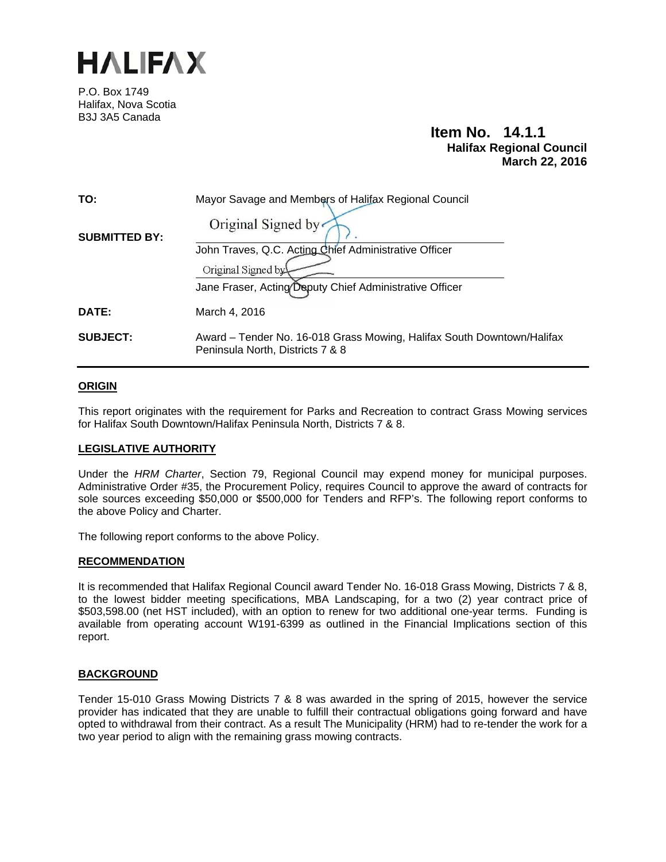

P.O. Box 1749 Halifax, Nova Scotia B3J 3A5 Canada

# **Item No. 14.1.1 Halifax Regional Council March 22, 2016**

| TO:                  | Mayor Savage and Members of Halifax Regional Council                                                       |  |  |
|----------------------|------------------------------------------------------------------------------------------------------------|--|--|
| <b>SUBMITTED BY:</b> | Original Signed by                                                                                         |  |  |
|                      | John Traves, Q.C. Acting Chief Administrative Officer                                                      |  |  |
|                      | Original Signed by                                                                                         |  |  |
|                      | Jane Fraser, Acting Deputy Chief Administrative Officer                                                    |  |  |
| <b>DATE:</b>         | March 4, 2016                                                                                              |  |  |
| <b>SUBJECT:</b>      | Award – Tender No. 16-018 Grass Mowing, Halifax South Downtown/Halifax<br>Peninsula North, Districts 7 & 8 |  |  |

### **ORIGIN**

This report originates with the requirement for Parks and Recreation to contract Grass Mowing services for Halifax South Downtown/Halifax Peninsula North, Districts 7 & 8.

### **LEGISLATIVE AUTHORITY**

Under the *HRM Charter*, Section 79, Regional Council may expend money for municipal purposes. Administrative Order #35, the Procurement Policy, requires Council to approve the award of contracts for sole sources exceeding \$50,000 or \$500,000 for Tenders and RFP's. The following report conforms to the above Policy and Charter.

The following report conforms to the above Policy.

### **RECOMMENDATION**

It is recommended that Halifax Regional Council award Tender No. 16-018 Grass Mowing, Districts 7 & 8, to the lowest bidder meeting specifications, MBA Landscaping, for a two (2) year contract price of \$503,598.00 (net HST included), with an option to renew for two additional one-year terms. Funding is available from operating account W191-6399 as outlined in the Financial Implications section of this report.

### **BACKGROUND**

Tender 15-010 Grass Mowing Districts 7 & 8 was awarded in the spring of 2015, however the service provider has indicated that they are unable to fulfill their contractual obligations going forward and have opted to withdrawal from their contract. As a result The Municipality (HRM) had to re-tender the work for a two year period to align with the remaining grass mowing contracts.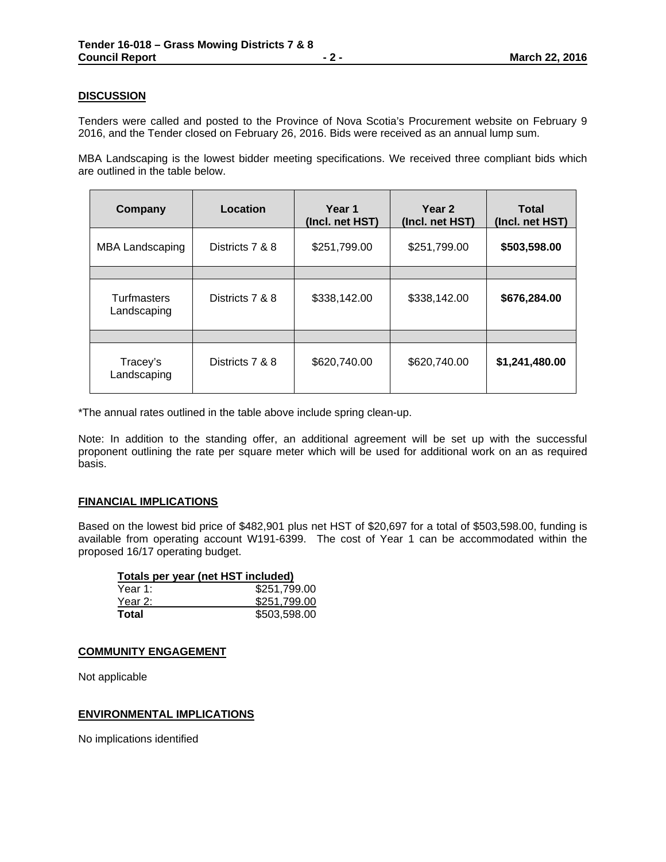## **DISCUSSION**

Tenders were called and posted to the Province of Nova Scotia's Procurement website on February 9 2016, and the Tender closed on February 26, 2016. Bids were received as an annual lump sum.

MBA Landscaping is the lowest bidder meeting specifications. We received three compliant bids which are outlined in the table below.

| Company                    | Location        | Year 1<br>(Incl. net HST) | Year 2<br>(Incl. net HST) | Total<br>(Incl. net HST) |
|----------------------------|-----------------|---------------------------|---------------------------|--------------------------|
| <b>MBA Landscaping</b>     | Districts 7 & 8 | \$251,799.00              | \$251,799.00              | \$503,598.00             |
|                            |                 |                           |                           |                          |
| Turfmasters<br>Landscaping | Districts 7 & 8 | \$338,142.00              | \$338,142.00              | \$676,284.00             |
|                            |                 |                           |                           |                          |
| Tracey's<br>Landscaping    | Districts 7 & 8 | \$620,740.00              | \$620,740.00              | \$1,241,480.00           |

\*The annual rates outlined in the table above include spring clean-up.

Note: In addition to the standing offer, an additional agreement will be set up with the successful proponent outlining the rate per square meter which will be used for additional work on an as required basis.

### **FINANCIAL IMPLICATIONS**

Based on the lowest bid price of \$482,901 plus net HST of \$20,697 for a total of \$503,598.00, funding is available from operating account W191-6399. The cost of Year 1 can be accommodated within the proposed 16/17 operating budget.

| Totals per year (net HST included) |              |
|------------------------------------|--------------|
| Year 1:                            | \$251,799.00 |
| Year 2:                            | \$251,799.00 |
| Total                              | \$503,598.00 |

### **COMMUNITY ENGAGEMENT**

Not applicable

## **ENVIRONMENTAL IMPLICATIONS**

No implications identified